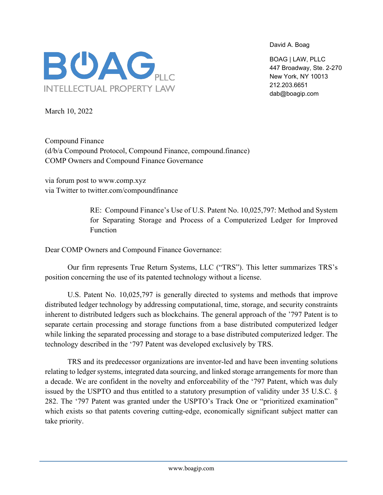David A. Boag

BOAG | LAW, PLLC 447 Broadway, Ste. 2-270 New York, NY 10013 212.203.6651 dab@boagip.com



March 10, 2022

Compound Finance (d/b/a Compound Protocol, Compound Finance, compound.finance) COMP Owners and Compound Finance Governance

via forum post to www.comp.xyz via Twitter to twitter.com/compoundfinance

> RE: Compound Finance's Use of U.S. Patent No. 10,025,797: Method and System for Separating Storage and Process of a Computerized Ledger for Improved Function

Dear COMP Owners and Compound Finance Governance:

Our firm represents True Return Systems, LLC ("TRS"). This letter summarizes TRS's position concerning the use of its patented technology without a license.

U.S. Patent No. 10,025,797 is generally directed to systems and methods that improve distributed ledger technology by addressing computational, time, storage, and security constraints inherent to distributed ledgers such as blockchains. The general approach of the '797 Patent is to separate certain processing and storage functions from a base distributed computerized ledger while linking the separated processing and storage to a base distributed computerized ledger. The technology described in the '797 Patent was developed exclusively by TRS.

TRS and its predecessor organizations are inventor-led and have been inventing solutions relating to ledger systems, integrated data sourcing, and linked storage arrangements for more than a decade. We are confident in the novelty and enforceability of the '797 Patent, which was duly issued by the USPTO and thus entitled to a statutory presumption of validity under 35 U.S.C. § 282. The '797 Patent was granted under the USPTO's Track One or "prioritized examination" which exists so that patents covering cutting-edge, economically significant subject matter can take priority.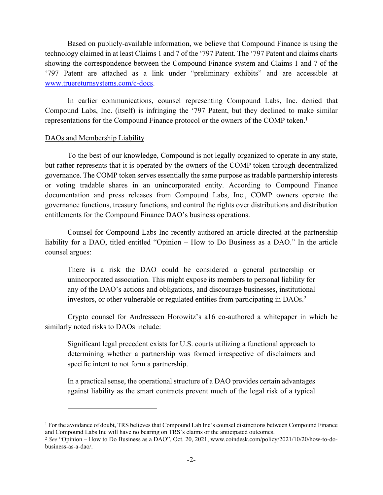Based on publicly-available information, we believe that Compound Finance is using the technology claimed in at least Claims 1 and 7 of the '797 Patent. The '797 Patent and claims charts showing the correspondence between the Compound Finance system and Claims 1 and 7 of the '797 Patent are attached as a link under "preliminary exhibits" and are accessible at [www.truereturnsystems.com/c-docs.](http://www.truereturnsystems.com/c-docs)

In earlier communications, counsel representing Compound Labs, Inc. denied that Compound Labs, Inc. (itself) is infringing the '797 Patent, but they declined to make similar representations for the Compound Finance protocol or the owners of the COMP token.<sup>1</sup>

## DAOs and Membership Liability

To the best of our knowledge, Compound is not legally organized to operate in any state, but rather represents that it is operated by the owners of the COMP token through decentralized governance. The COMP token serves essentially the same purpose as tradable partnership interests or voting tradable shares in an unincorporated entity. According to Compound Finance documentation and press releases from Compound Labs, Inc., COMP owners operate the governance functions, treasury functions, and control the rights over distributions and distribution entitlements for the Compound Finance DAO's business operations.

Counsel for Compound Labs Inc recently authored an article directed at the partnership liability for a DAO, titled entitled "Opinion – How to Do Business as a DAO." In the article counsel argues:

There is a risk the DAO could be considered a general partnership or unincorporated association. This might expose its members to personal liability for any of the DAO's actions and obligations, and discourage businesses, institutional investors, or other vulnerable or regulated entities from participating in DAOs.<sup>2</sup>

Crypto counsel for Andresseen Horowitz's a16 co-authored a whitepaper in which he similarly noted risks to DAOs include:

Significant legal precedent exists for U.S. courts utilizing a functional approach to determining whether a partnership was formed irrespective of disclaimers and specific intent to not form a partnership.

In a practical sense, the operational structure of a DAO provides certain advantages against liability as the smart contracts prevent much of the legal risk of a typical

<sup>1</sup> For the avoidance of doubt, TRS believes that Compound Lab Inc's counsel distinctions between Compound Finance and Compound Labs Inc will have no bearing on TRS's claims or the anticipated outcomes.

<sup>2</sup> *See* "Opinion – How to Do Business as a DAO", Oct. 20, 2021, www.coindesk.com/policy/2021/10/20/how-to-dobusiness-as-a-dao/.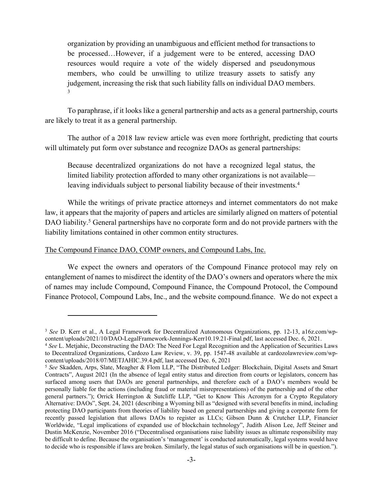organization by providing an unambiguous and efficient method for transactions to be processed…However, if a judgement were to be entered, accessing DAO resources would require a vote of the widely dispersed and pseudonymous members, who could be unwilling to utilize treasury assets to satisfy any judgement, increasing the risk that such liability falls on individual DAO members. 3

To paraphrase, if it looks like a general partnership and acts as a general partnership, courts are likely to treat it as a general partnership.

The author of a 2018 law review article was even more forthright, predicting that courts will ultimately put form over substance and recognize DAOs as general partnerships:

Because decentralized organizations do not have a recognized legal status, the limited liability protection afforded to many other organizations is not available leaving individuals subject to personal liability because of their investments.<sup>4</sup>

While the writings of private practice attorneys and internet commentators do not make law, it appears that the majority of papers and articles are similarly aligned on matters of potential DAO liability.<sup>5</sup> General partnerships have no corporate form and do not provide partners with the liability limitations contained in other common entity structures.

## The Compound Finance DAO, COMP owners, and Compound Labs, Inc.

We expect the owners and operators of the Compound Finance protocol may rely on entanglement of names to misdirect the identity of the DAO's owners and operators where the mix of names may include Compound, Compound Finance, the Compound Protocol, the Compound Finance Protocol, Compound Labs, Inc., and the website compound.finance. We do not expect a

<sup>3</sup> *See* D. Kerr et al., A Legal Framework for Decentralized Autonomous Organizations, pp. 12-13, a16z.com/wpcontent/uploads/2021/10/DAO-LegalFramework-Jennings-Kerr10.19.21-Final.pdf, last accessed Dec. 6, 2021.

<sup>4</sup>  *See* L. Metjahic, Deconstructing the DAO: The Need For Legal Recognition and the Application of Securities Laws to Decentralized Organizations, Cardozo Law Review, v. 39, pp. 1547-48 available at cardozolawreview.com/wpcontent/uploads/2018/07/METJAHIC.39.4.pdf, last accessed Dec. 6, 2021

<sup>5</sup> *See* Skadden, Arps, Slate, Meagher & Flom LLP, "The Distributed Ledger: Blockchain, Digital Assets and Smart Contracts", August 2021 (In the absence of legal entity status and direction from courts or legislators, concern has surfaced among users that DAOs are general partnerships, and therefore each of a DAO's members would be personally liable for the actions (including fraud or material misrepresentations) of the partnership and of the other general partners."); Orrick Herrington & Sutcliffe LLP, "Get to Know This Acronym for a Crypto Regulatory Alternative: DAOs", Sept. 24, 2021 (describing a Wyoming bill as "designed with several benefits in mind, including protecting DAO participants from theories of liability based on general partnerships and giving a corporate form for recently passed legislation that allows DAOs to register as LLCs; Gibson Dunn & Crutcher LLP, Financier Worldwide, "Legal implications of expanded use of blockchain technology", Judith Alison Lee, Jeff Steiner and Dustin McKenzie, November 2016 ("Decentralised organisations raise liability issues as ultimate responsibility may be difficult to define. Because the organisation's 'management' is conducted automatically, legal systems would have to decide who is responsible if laws are broken. Similarly, the legal status of such organisations will be in question.").